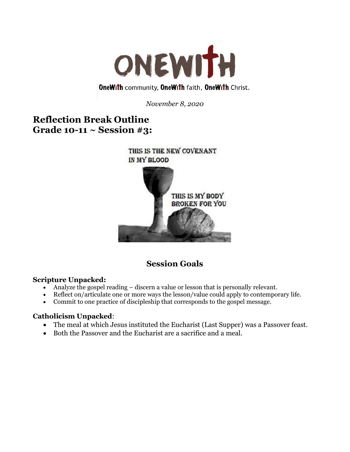

# **OneWith community, OneWith faith, OneWith Christ.**

*November 8, 2020*

# **Reflection Break Outline Grade 10-11 ~ Session #3:**



# **Session Goals**

## **Scripture Unpacked:**

- Analyze the gospel reading discern a value or lesson that is personally relevant.
- Reflect on/articulate one or more ways the lesson/value could apply to contemporary life.
- Commit to one practice of discipleship that corresponds to the gospel message.

## **Catholicism Unpacked**:

- The meal at which Jesus instituted the Eucharist (Last Supper) was a Passover feast.
- Both the Passover and the Eucharist are a sacrifice and a meal.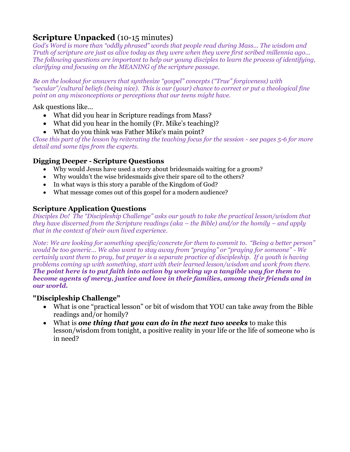# **Scripture Unpacked** (10-15 minutes)

*God's Word is more than "oddly phrased" words that people read during Mass... The wisdom and Truth of scripture are just as alive today as they were when they were first scribed millennia ago... The following questions are important to help our young disciples to learn the process of identifying, clarifying and focusing on the MEANING of the scripture passage.* 

*Be on the lookout for answers that synthesize "gospel" concepts ("True" forgiveness) with "secular"/cultural beliefs (being nice). This is our (your) chance to correct or put a theological fine point on any misconceptions or perceptions that our teens might have.* 

Ask questions like...

- What did you hear in Scripture readings from Mass?
- What did you hear in the homily (Fr. Mike's teaching)?
- What do you think was Father Mike's main point?

*Close this part of the lesson by reiterating the teaching focus for the session - see pages 5-6 for more detail and some tips from the experts.*

## **Digging Deeper - Scripture Questions**

- Why would Jesus have used a story about bridesmaids waiting for a groom?
- Why wouldn't the wise bridesmaids give their spare oil to the others?
- In what ways is this story a parable of the Kingdom of God?
- What message comes out of this gospel for a modern audience?

## **Scripture Application Questions**

*Disciples Do! The "Discipleship Challenge" asks our youth to take the practical lesson/wisdom that they have discerned from the Scripture readings (aka – the Bible) and/or the homily – and apply that in the context of their own lived experience.*

*Note: We are looking for something specific/concrete for them to commit to. "Being a better person" would be too generic... We also want to stay away from "praying" or "praying for someone" - We certainly want them to pray, but prayer is a separate practice of discipleship. If a youth is having problems coming up with something, start with their learned lesson/wisdom and work from there. The point here is to put faith into action by working up a tangible way for them to become agents of mercy, justice and love in their families, among their friends and in our world.*

## **"Discipleship Challenge"**

- What is one "practical lesson" or bit of wisdom that YOU can take away from the Bible readings and/or homily?
- What is *one thing that you can do in the next two weeks* to make this lesson/wisdom from tonight, a positive reality in your life or the life of someone who is in need?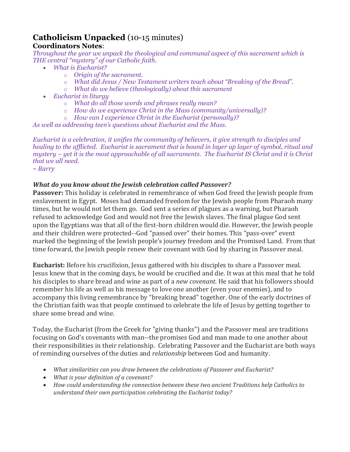# **Catholicism Unpacked** (10-15 minutes) **Coordinators Notes**:

*Throughout the year we unpack the theological and communal aspect of this sacrament which is THE central "mystery" of our Catholic faith.*

- *What is Eucharist?*
	- o *Origin of the sacrament.*
	- o *What did Jesus / New Testament writers teach about "Breaking of the Bread".*
	- o *What do we believe (theologically) about this sacrament*
- *Eucharist in liturgy*
	- o *What do all those words and phrases really mean?*
	- o *How do we experience Christ in the Mass (community/universally)?*
	- o *How can I experience Christ in the Eucharist (personally)?*

*As well as addressing teen's questions about Eucharist and the Mass.*

*Eucharist is a celebration, it unifies the community of believers, it give strength to disciples and healing to the afflicted. Eucharist is sacrament that is bound in layer up layer of symbol, ritual and mystery – yet it is the most approachable of all sacraments. The Eucharist IS Christ and it is Christ that we all need.*

*~ Barry*

# *What do you know about the Jewish celebration called Passover?*

**Passover:** This holiday is celebrated in remembrance of when God freed the Jewish people from enslavement in Egypt. Moses had demanded freedom for the Jewish people from Pharaoh many times, but he would not let them go. God sent a series of plagues as a warning, but Pharaoh refused to acknowledge God and would not free the Jewish slaves. The final plague God sent upon the Egyptians was that all of the first-born children would die. However, the Jewish people and their children were protected--God "passed over" their homes. This "pass-over" event marked the beginning of the Jewish people's journey freedom and the Promised Land. From that time forward, the Jewish people renew their covenant with God by sharing in Passover meal.

**Eucharist:** Before his crucifixion, Jesus gathered with his disciples to share a Passover meal. Jesus knew that in the coming days, he would be crucified and die. It was at this meal that he told his disciples to share bread and wine as part of a *new covenant.* He said that his followers should remember his life as well as his message to love one another (even your enemies), and to accompany this living remembrance by "breaking bread" together. One of the early doctrines of the Christian faith was that people continued to celebrate the life of Jesus by getting together to share some bread and wine.

Today, the Eucharist (from the Greek for "giving thanks") and the Passover meal are traditions focusing on God's covenants with man--the promises God and man made to one another about their responsibilities in their relationship. Celebrating Passover and the Eucharist are both ways of reminding ourselves of the duties and *relationship* between God and humanity.

- *What similarities can you draw between the celebrations of Passover and Eucharist?*
- *What is your definition of a covenant?*
- *How could understanding the connection between these two ancient Traditions help Catholics to understand their own participation celebrating the Eucharist today?*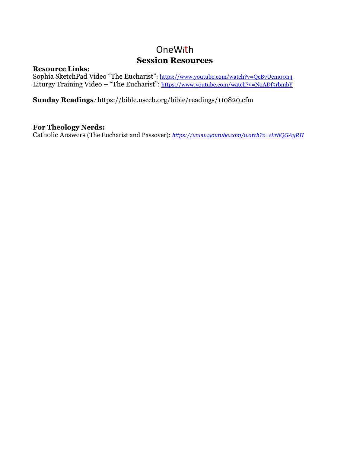# OneWith **Session Resources**

#### **Resource Links:**

Sophia SketchPad Video "The Eucharist": <https://www.youtube.com/watch?v=QcB7Uem00n4> Liturgy Training Video – "The Eucharist": <https://www.youtube.com/watch?v=NoADf5rbmbY>

## **Sunday Readings***:* <https://bible.usccb.org/bible/readings/110820.cfm>

## **For Theology Nerds:**

Catholic Answers (The Eucharist and Passover): *https://www.youtube.com/watch?v=skrbQGAyRII*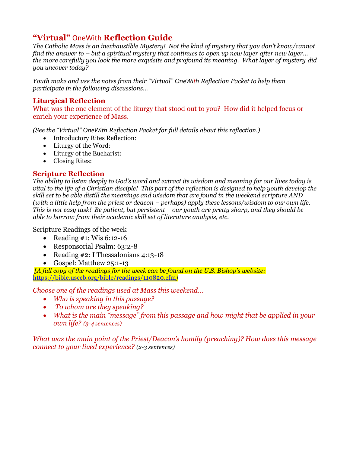# **"Virtual"** OneWith **Reflection Guide**

*The Catholic Mass is an inexhaustible Mystery! Not the kind of mystery that you don't know/cannot find the answer to – but a spiritual mystery that continues to open up new layer after new layer... the more carefully you look the more exquisite and profound its meaning. What layer of mystery did you uncover today?*

*Youth make and use the notes from their "Virtual" OneWith Reflection Packet to help them participate in the following discussions...*

## **Liturgical Reflection**

What was the one element of the liturgy that stood out to you? How did it helped focus or enrich your experience of Mass.

*(See the "Virtual" OneWith Reflection Packet for full details about this reflection.)*

- Introductory Rites Reflection:
- Liturgy of the Word:
- Liturgy of the Eucharist:
- Closing Rites:

## **Scripture Reflection**

*The ability to listen deeply to God's word and extract its wisdom and meaning for our lives today is vital to the life of a Christian disciple! This part of the reflection is designed to help youth develop the skill set to be able distill the meanings and wisdom that are found in the weekend scripture AND (with a little help from the priest or deacon – perhaps) apply these lessons/wisdom to our own life. This is not easy task! Be patient, but persistent – our youth are pretty sharp, and they should be able to borrow from their academic skill set of literature analysis, etc.*

Scripture Readings of the week

- Reading #1: Wis  $6:12-16$
- Responsorial Psalm: 63:2-8
- Reading #2: I Thessalonians 4:13-18
- Gospel: Matthew 25:1-13

*[A full copy of the readings for the week can be found on the U.S. Bishop's website:* <https://bible.usccb.org/bible/readings/110820.cfm>*]*

*Choose one of the readings used at Mass this weekend...* 

- *Who is speaking in this passage?*
- *To whom are they speaking?*
- *What is the main "message" from this passage and how might that be applied in your own life? (3-4 sentences)*

*What was the main point of the Priest/Deacon's homily (preaching)? How does this message connect to your lived experience? (2-3 sentences)*